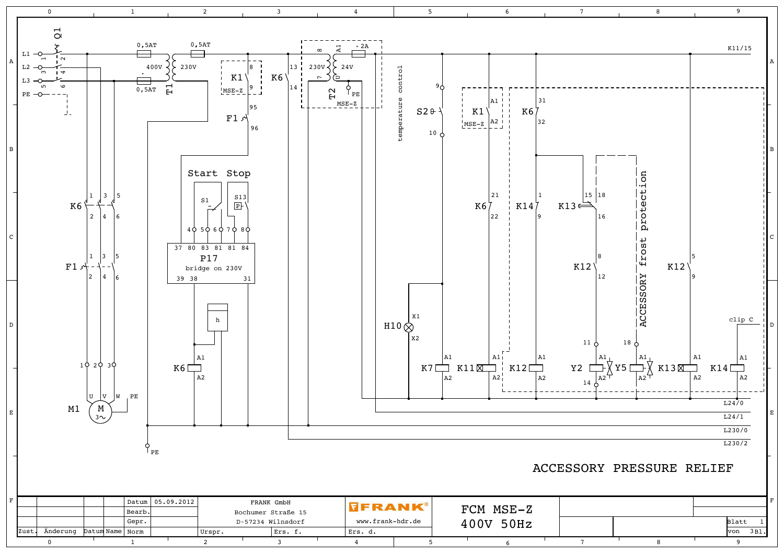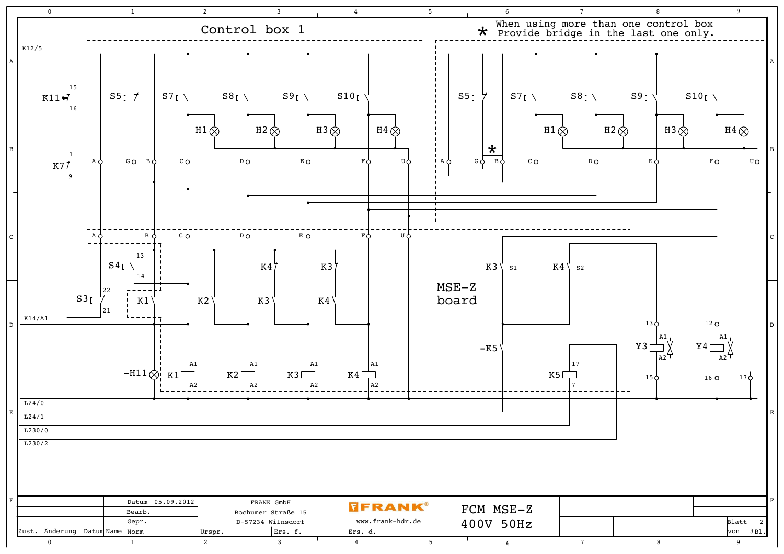